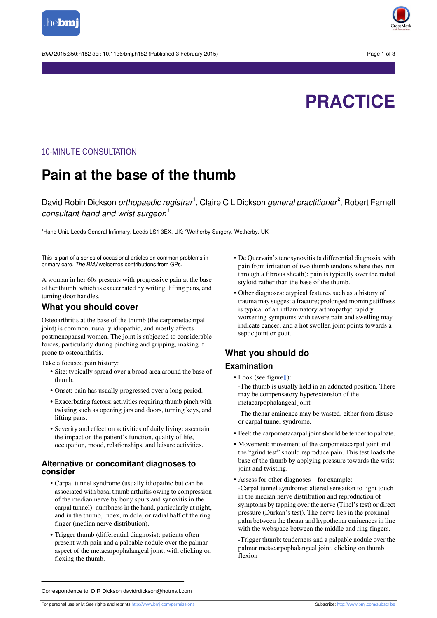

BMJ 2015:350:h182 doi: 10.1136/bmi.h182 (Published 3 February 2015) Page 1 of 3



# **PRACTICE**

### 10-MINUTE CONSULTATION

# **Pain at the base of the thumb**

David Robin Dickson *orthopaedic registrar*<sup>1</sup>, Claire C L Dickson *general practitioner<sup>2</sup>,* Robert Farnell consultant hand and wrist surgeon $<sup>1</sup>$ </sup>

<sup>1</sup>Hand Unit, Leeds General Infirmary, Leeds LS1 3EX, UK; <sup>2</sup>Wetherby Surgery, Wetherby, UK

This is part of a series of occasional articles on common problems in primary care. The BMJ welcomes contributions from GPs.

A woman in her 60s presents with progressive pain at the base of her thumb, which is exacerbated by writing, lifting pans, and turning door handles.

#### **What you should cover**

Osteoarthritis at the base of the thumb (the carpometacarpal joint) is common, usually idiopathic, and mostly affects postmenopausal women. The joint is subjected to considerable forces, particularly during pinching and gripping, making it prone to osteoarthritis.

Take a focused pain history:

- **•** Site: typically spread over a broad area around the base of thumb.
- **•** Onset: pain has usually progressed over a long period.
- Exacerbating factors: activities requiring thumb pinch with twisting such as opening jars and doors, turning keys, and lifting pans.
- **•** Severity and effect on activities of daily living: ascertain the impact on the patient's function, quality of life, occupation, mood, relationships, and leisure activities.<sup>1</sup>

#### **Alternative or concomitant diagnoses to consider**

- **•** Carpal tunnel syndrome (usually idiopathic but can be associated with basal thumb arthritis owing to compression of the median nerve by bony spurs and synovitis in the carpal tunnel): numbness in the hand, particularly at night, and in the thumb, index, middle, or radial half of the ring finger (median nerve distribution).
- **•** Trigger thumb (differential diagnosis): patients often present with pain and a palpable nodule over the palmar aspect of the metacarpophalangeal joint, with clicking on flexing the thumb.
- **•** De Quervain's tenosynovitis (a differential diagnosis, with pain from irritation of two thumb tendons where they run through a fibrous sheath): pain is typically over the radial styloid rather than the base of the thumb.
- **•** Other diagnoses: atypical features such as a history of trauma may suggest a fracture; prolonged morning stiffness is typical of an inflammatory arthropathy; rapidly worsening symptoms with severe pain and swelling may indicate cancer; and a hot swollen joint points towards a septic joint or gout.

## **What you should do**

### **Examination**

**•** Look (see figur[e⇓](#page-2-0)):

-The thumb is usually held in an adducted position. There may be compensatory hyperextension of the metacarpophalangeal joint

-The thenar eminence may be wasted, either from disuse or carpal tunnel syndrome.

- Feel: the carpometacarpal joint should be tender to palpate.
- **•** Movement: movement of the carpometacarpal joint and the "grind test" should reproduce pain. This test loads the base of the thumb by applying pressure towards the wrist joint and twisting.
- **•** Assess for other diagnoses—for example: -Carpal tunnel syndrome: altered sensation to light touch in the median nerve distribution and reproduction of symptoms by tapping over the nerve (Tinel'stest) or direct
- pressure (Durkan's test). The nerve lies in the proximal palm between the thenar and hypothenar eminencesin line with the webspace between the middle and ring fingers.

-Trigger thumb: tenderness and a palpable nodule over the palmar metacarpophalangeal joint, clicking on thumb flexion

Correspondence to: D R Dickson davidrdickson@hotmail.com

For personal use only: See rights and reprints<http://www.bmj.com/permissions> Subscribe: <http://www.bmj.com/subscribe>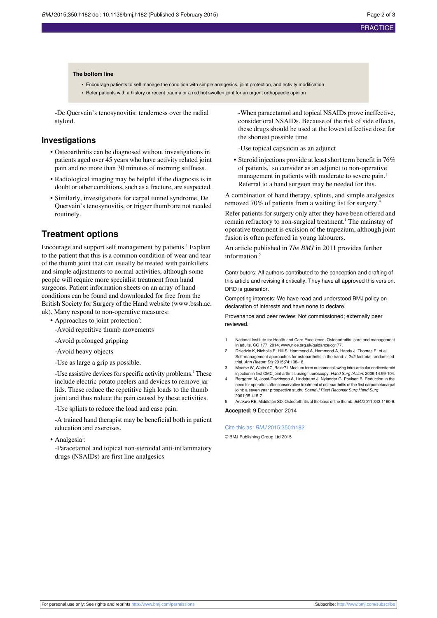#### **The bottom line**

- **•** Encourage patients to self manage the condition with simple analgesics, joint protection, and activity modification
- **•** Refer patients with a history or recent trauma or a red hot swollen joint for an urgent orthopaedic opinion

-De Quervain's tenosynovitis: tenderness over the radial styloid.

### **Investigations**

- **•** Osteoarthritis can be diagnosed without investigations in patients aged over 45 years who have activity related joint pain and no more than 30 minutes of morning stiffness.<sup>1</sup>
- **•** Radiological imaging may be helpful if the diagnosis is in doubt or other conditions, such as a fracture, are suspected.
- **•** Similarly, investigations for carpal tunnel syndrome, De Quervain's tenosynovitis, or trigger thumb are not needed routinely.

### **Treatment options**

Encourage and support self management by patients.<sup>1</sup> Explain to the patient that this is a common condition of wear and tear of the thumb joint that can usually be treated with painkillers and simple adjustments to normal activities, although some people will require more specialist treatment from hand surgeons. Patient information sheets on an array of hand conditions can be found and downloaded for free from the British Society for Surgery of the Hand website ([www.bssh.ac.](http://www.bssh.ac.uk/) [uk\)](http://www.bssh.ac.uk/). Many respond to non-operative measures:

- Approaches to joint protection<sup>2</sup>:
- -Avoid repetitive thumb movements
- -Avoid prolonged gripping
- -Avoid heavy objects
- -Use as large a grip as possible.

-Use assistive devices for specific activity problems.<sup>1</sup> These include electric potato peelers and devices to remove jar lids. These reduce the repetitive high loads to the thumb joint and thus reduce the pain caused by these activities.

-Use splints to reduce the load and ease pain.

-A trained hand therapist may be beneficial both in patient education and exercises.

• Analgesia<sup>1</sup>:

-Paracetamol and topical non-steroidal anti-inflammatory drugs (NSAIDs) are first line analgesics

-When paracetamol and topical NSAIDs prove ineffective, consider oral NSAIDs. Because of the risk of side effects, these drugs should be used at the lowest effective dose for the shortest possible time

-Use topical capsaicin as an adjunct

• Steroid injections provide at least short term benefit in 76% of patients,<sup>3</sup> so consider as an adjunct to non-operative management in patients with moderate to severe pain.<sup>1</sup> Referral to a hand surgeon may be needed for this.

A combination of hand therapy, splints, and simple analgesics removed 70% of patients from a waiting list for surgery.<sup>4</sup>

Refer patients for surgery only after they have been offered and remain refractory to non-surgical treatment.<sup>1</sup> The mainstay of operative treatment is excision of the trapezium, although joint fusion is often preferred in young labourers.

An article published in *The BMJ* in 2011 provides further information.<sup>5</sup>

Contributors: All authors contributed to the conception and drafting of this article and revising it critically. They have all approved this version. DRD is guarantor.

Competing interests: We have read and understood BMJ policy on declaration of interests and have none to declare.

Provenance and peer review: Not commissioned; externally peer reviewed.

- National Institute for Health and Care Excellence. Osteoarthritis: care and management in adults. CG 177. 2014. [www.nice.org.uk/guidance/cg177.](http://www.nice.org.uk/guidance/cg177)
- 2 Dziedzic K, Nicholls E, Hill S, Hammond A, Hammond A, Handy J, Thomas E, et al. Self-management approaches for osteoarthritis in the hand: a 2×2 factorial randomised trial. Ann Rheum Dis 2015;74:108-18.
- 3 Maarse W, Watts AC, Bain GI. Medium term outcome following intra-articular corticosteroid injection in first CMC joint arthritis using fluoroscopy. Hand Surg (Asian) 2009;14:99-104.
- 4 Berggren M, Joost-Davidsson A, Lindstrand J, Nylander G, Povlsen B. Reduction in the need for operation after conservative treatment of osteoarthritis of the first carpom joint: a seven year prospective study. Scand J Plast Reconstr Surg Hand Surg 2001;35:415-7.

5 Anakwe RE, Middleton SD. Osteoarthritis at the base of the thumb. BMJ 2011;343:1160-6.

**Accepted:** 9 December 2014

#### Cite this as: BMJ 2015;350:h182

© BMJ Publishing Group Ltd 2015